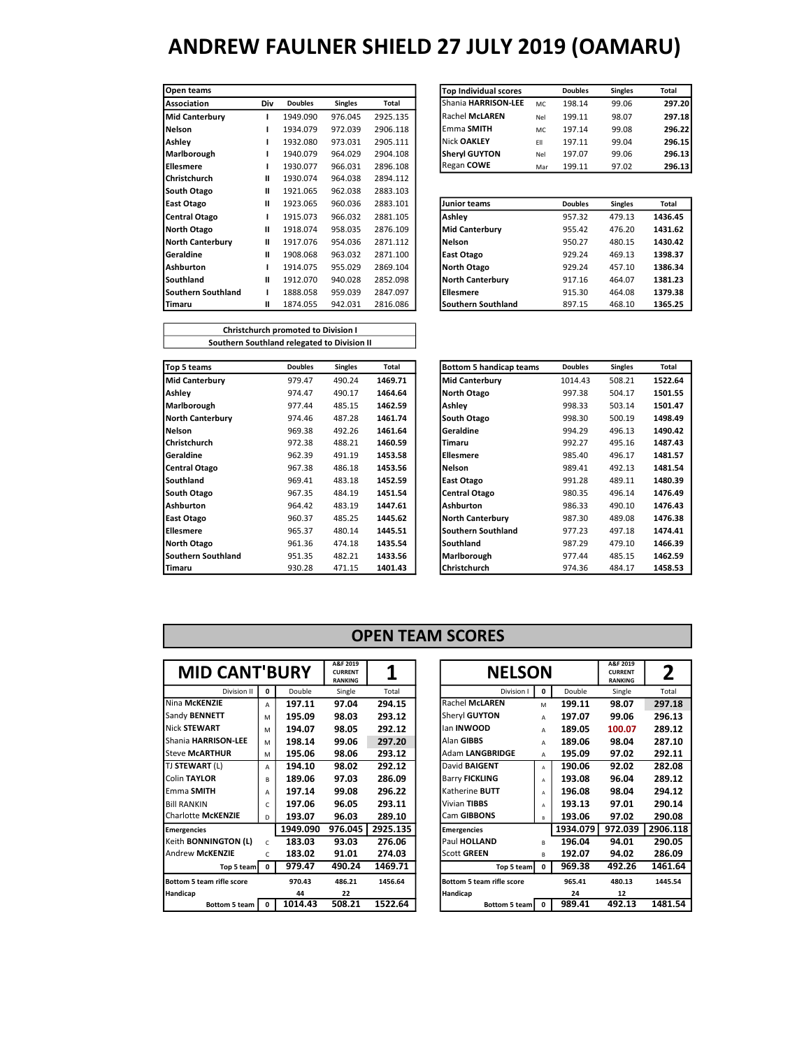| Open teams            |     |                |                |          | <b>Top Individual scores</b> |     | <b>Doubles</b> | <b>Singles</b> | Total   |
|-----------------------|-----|----------------|----------------|----------|------------------------------|-----|----------------|----------------|---------|
| <b>Association</b>    | Div | <b>Doubles</b> | <b>Singles</b> | Total    | Shania HARRISON-LEE          | MC  | 198.14         | 99.06          | 297.2   |
| <b>Mid Canterbury</b> |     | 1949.090       | 976.045        | 2925.135 | <b>Rachel McLAREN</b>        | Nel | 199.11         | 98.07          | 297.1   |
| l Nelson              |     | 1934.079       | 972.039        | 2906.118 | Emma SMITH                   | MC  | 197.14         | 99.08          | 296.2   |
| <b>Ashley</b>         |     | 1932.080       | 973.031        | 2905.111 | Nick OAKLEY                  | EII | 197.11         | 99.04          | 296.1   |
| Marlborough           |     | 1940.079       | 964.029        | 2904.108 | <b>Sheryl GUYTON</b>         | Nel | 197.07         | 99.06          | 296.1   |
| l Ellesmere           |     | 1930.077       | 966.031        | 2896.108 | Regan COWE                   | Mar | 199.11         | 97.02          | 296.1   |
| l Christchurch        | Ш   | 1930.074       | 964.038        | 2894.112 |                              |     |                |                |         |
| South Otago           | Ш   | 1921.065       | 962.038        | 2883.103 |                              |     |                |                |         |
| East Otago            | н   | 1923.065       | 960.036        | 2883.101 | <b>Junior teams</b>          |     | <b>Doubles</b> | <b>Singles</b> | Total   |
| Central Otago         |     | 1915.073       | 966.032        | 2881.105 | Ashley                       |     | 957.32         | 479.13         | 1436.45 |
| North Otago           | п   | 1918.074       | 958.035        | 2876.109 | <b>Mid Canterbury</b>        |     | 955.42         | 476.20         | 1431.62 |
| North Canterbury      | Ш   | 1917.076       | 954.036        | 2871.112 | Nelson                       |     | 950.27         | 480.15         | 1430.42 |
| <b>IGeraldine</b>     | Ш   | 1908.068       | 963.032        | 2871.100 | East Otago                   |     | 929.24         | 469.13         | 1398.37 |
| lAshburton            |     | 1914.075       | 955.029        | 2869.104 | North Otago                  |     | 929.24         | 457.10         | 1386.34 |
| lSouthland            | Ш   | 1912.070       | 940.028        | 2852.098 | <b>North Canterbury</b>      |     | 917.16         | 464.07         | 1381.23 |
| l Southern Southland  | L   | 1888.058       | 959.039        | 2847.097 | Ellesmere                    |     | 915.30         | 464.08         | 1379.38 |
| <b>Timaru</b>         | Ш   | 1874.055       | 942.031        | 2816.086 | <b>Southern Southland</b>    |     | 897.15         | 468.10         | 1365.25 |

Christchurch promoted to Division I Southern Southland relegated to Division II

| Open teams              |                |                   |                |                 | <b>Top Individual scores</b> |           | <b>Doubles</b> | <b>Singles</b> | Total          |
|-------------------------|----------------|-------------------|----------------|-----------------|------------------------------|-----------|----------------|----------------|----------------|
| Association             | Div            | <b>Doubles</b>    | <b>Singles</b> | Total           | Shania HARRISON-LEE          | <b>MC</b> | 198.14         | 99.06          | 297.20         |
| <b>Mid Canterbury</b>   |                | 1949.090          | 976.045        | 2925.135        | <b>Rachel McLAREN</b>        | Nel       | 199.11         | 98.07          | 297.18         |
| <b>Nelson</b>           |                | 1934.079          | 972.039        | 2906.118        | Emma SMITH                   | MC        | 197.14         | 99.08          | 296.22         |
| Ashley                  |                | 1932.080          | 973.031        | 2905.111        | Nick OAKLEY                  | FII       | 197.11         | 99.04          | 296.15         |
| Marlborough             |                | 1940.079          | 964.029        | 2904.108        | <b>Sheryl GUYTON</b>         | Nel       | 197.07         | 99.06          | 296.13         |
| <b>Ellesmere</b>        |                | 1930.077          | 966.031        | 2896.108        | Regan COWE                   | Mar       | 199.11         | 97.02          | 296.13         |
| Christchurch            | Ш              | 1930.074          | 964.038        | 2894.112        |                              |           |                |                |                |
| South Otago             | Ш              | 1921.065          | 962.038        | 2883.103        |                              |           |                |                |                |
| East Otago              | Ш              | 1923.065          | 960.036        | 2883.101        | Junior teams                 |           | <b>Doubles</b> | <b>Singles</b> | Total          |
| Central Otago           |                | 1915.073          | 966.032        | 2881.105        | Ashley                       |           | 957.32         | 479.13         | 1436.45        |
| North Otago             | Ш              | 1918.074          | 958.035        | 2876.109        | <b>Mid Canterbury</b>        |           | 955.42         | 476.20         | 1431.62        |
| <b>North Canterbury</b> | $\mathbf{I}$   | 1917.076          | 954.036        | 2871.112        | <b>Nelson</b>                |           | 950.27         | 480.15         | 1430.42        |
| Geraldine               | Ш              | 1908.068          | 963.032        | 2871.100        | East Otago                   |           | 929.24         | 469.13         | 1398.37        |
| Ashburton               |                | 1914.075          | 955.029        | 2869.104        | North Otago                  |           | 929.24         | 457.10         | 1386.34        |
| Southland               | Ш              | 1912.070          | 940.028        | 2852.098        | <b>North Canterbury</b>      |           | 917.16         | 464.07         | 1381.23        |
| Southern Southland      |                | 1888.058          | 959.039        | 2847.097        | Ellesmere                    |           | 915.30         | 464.08         | 1379.38        |
| Timour                  | $\blacksquare$ | $107A$ $\Omega E$ | 012021         | <b>2016 00C</b> | Couthorn Couthland           |           | 0071E          | $ACO$ 10       | <b>19CE 9E</b> |

| Top 5 teams               | <b>Doubles</b> | <b>Singles</b> | Total   | <b>Bottom 5 handicap teams</b> | <b>Doubles</b> | <b>Singles</b> | Total   |
|---------------------------|----------------|----------------|---------|--------------------------------|----------------|----------------|---------|
| <b>Mid Canterbury</b>     | 979.47         | 490.24         | 1469.71 | <b>Mid Canterbury</b>          | 1014.43        | 508.21         | 1522.64 |
| Ashley                    | 974.47         | 490.17         | 1464.64 | <b>North Otago</b>             | 997.38         | 504.17         | 1501.55 |
| Marlborough               | 977.44         | 485.15         | 1462.59 | Ashley                         | 998.33         | 503.14         | 1501.47 |
| <b>North Canterbury</b>   | 974.46         | 487.28         | 1461.74 | South Otago                    | 998.30         | 500.19         | 1498.49 |
| <b>Nelson</b>             | 969.38         | 492.26         | 1461.64 | Geraldine                      | 994.29         | 496.13         | 1490.42 |
| <b>Christchurch</b>       | 972.38         | 488.21         | 1460.59 | Timaru                         | 992.27         | 495.16         | 1487.43 |
| Geraldine                 | 962.39         | 491.19         | 1453.58 | Ellesmere                      | 985.40         | 496.17         | 1481.57 |
| <b>Central Otago</b>      | 967.38         | 486.18         | 1453.56 | Nelson                         | 989.41         | 492.13         | 1481.54 |
| Southland                 | 969.41         | 483.18         | 1452.59 | East Otago                     | 991.28         | 489.11         | 1480.39 |
| South Otago               | 967.35         | 484.19         | 1451.54 | <b>Central Otago</b>           | 980.35         | 496.14         | 1476.49 |
| <b>Ashburton</b>          | 964.42         | 483.19         | 1447.61 | <b>Ashburton</b>               | 986.33         | 490.10         | 1476.43 |
| East Otago                | 960.37         | 485.25         | 1445.62 | <b>North Canterbury</b>        | 987.30         | 489.08         | 1476.38 |
| <b>Ellesmere</b>          | 965.37         | 480.14         | 1445.51 | Southern Southland             | 977.23         | 497.18         | 1474.41 |
| North Otago               | 961.36         | 474.18         | 1435.54 | Southland                      | 987.29         | 479.10         | 1466.39 |
| <b>Southern Southland</b> | 951.35         | 482.21         | 1433.56 | Marlborough                    | 977.44         | 485.15         | 1462.59 |
| Timaru                    | 930.28         | 471.15         | 1401.43 | Christchurch                   | 974.36         | 484.17         | 1458.53 |

| <b>Bottom 5 handicap teams</b> | <b>Doubles</b> | <b>Singles</b> | Total   |
|--------------------------------|----------------|----------------|---------|
| <b>Mid Canterbury</b>          | 1014.43        | 508.21         | 1522.64 |
| North Otago                    | 997.38         | 504.17         | 1501.55 |
| Ashley                         | 998.33         | 503.14         | 1501.47 |
| South Otago                    | 998.30         | 500.19         | 1498.49 |
| Geraldine                      | 994.29         | 496.13         | 1490.42 |
| Timaru                         | 992.27         | 495.16         | 1487.43 |
| Ellesmere                      | 985.40         | 496.17         | 1481.57 |
| Nelson                         | 989.41         | 492.13         | 1481.54 |
| <b>East Otago</b>              | 991.28         | 489.11         | 1480.39 |
| <b>Central Otago</b>           | 980.35         | 496.14         | 1476.49 |
| Ashburton                      | 986.33         | 490.10         | 1476.43 |
| <b>North Canterbury</b>        | 987.30         | 489.08         | 1476.38 |
| <b>Southern Southland</b>      | 977.23         | 497.18         | 1474.41 |
| Southland                      | 987.29         | 479.10         | 1466.39 |
| Marlborough                    | 977.44         | 485.15         | 1462.59 |
| Christchurch                   | 974.36         | 484.17         | 1458.53 |

#### OPEN TEAM SCORES

| <b>MID CANT'BURY</b>        |              |          | A&F 2019<br><b>CURRENT</b><br><b>RANKING</b> | 1        | <b>NELSON</b>                    |              |          | A&F 2019<br><b>CURRENT</b><br><b>RANKING</b> | 2       |
|-----------------------------|--------------|----------|----------------------------------------------|----------|----------------------------------|--------------|----------|----------------------------------------------|---------|
| Division II                 | 0            | Double   | Single                                       | Total    | Division I                       | $\mathbf{0}$ | Double   | Single                                       | Total   |
| Nina McKENZIE               | A            | 197.11   | 97.04                                        | 294.15   | Rachel McLAREN                   | M            | 199.11   | 98.07                                        | 297.18  |
| Sandy BENNETT               | M            | 195.09   | 98.03                                        | 293.12   | Sheryl GUYTON                    | A            | 197.07   | 99.06                                        | 296.13  |
| <b>Nick STEWART</b>         | M            | 194.07   | 98.05                                        | 292.12   | lan INWOOD                       | A            | 189.05   | 100.07                                       | 289.12  |
| Shania HARRISON-LEE         | M            | 198.14   | 99.06                                        | 297.20   | Alan GIBBS                       | А            | 189.06   | 98.04                                        | 287.10  |
| <b>Steve McARTHUR</b>       | м            | 195.06   | 98.06                                        | 293.12   | Adam LANGBRIDGE                  | A            | 195.09   | 97.02                                        | 292.11  |
| TJ STEWART (L)              | A            | 194.10   | 98.02                                        | 292.12   | David <b>BAIGENT</b>             | A            | 190.06   | 92.02                                        | 282.08  |
| Colin TAYLOR                | B            | 189.06   | 97.03                                        | 286.09   | <b>Barry FICKLING</b>            | A            | 193.08   | 96.04                                        | 289.12  |
| Emma SMITH                  | А            | 197.14   | 99.08                                        | 296.22   | Katherine <b>BUTT</b>            | A            | 196.08   | 98.04                                        | 294.12  |
| <b>Bill RANKIN</b>          | C.           | 197.06   | 96.05                                        | 293.11   | Vivian TIBBS                     | A            | 193.13   | 97.01                                        | 290.14  |
| <b>Charlotte McKENZIE</b>   | D            | 193.07   | 96.03                                        | 289.10   | Cam GIBBONS                      | B            | 193.06   | 97.02                                        | 290.08  |
| <b>Emergencies</b>          |              | 1949.090 | 976.045                                      | 2925.135 | <b>Emergencies</b>               |              | 1934.079 | 972.039                                      | 2906.11 |
| Keith <b>BONNINGTON</b> (L) | $\mathsf{C}$ | 183.03   | 93.03                                        | 276.06   | Paul HOLLAND                     | R            | 196.04   | 94.01                                        | 290.05  |
| <b>Andrew McKENZIE</b>      | $\mathsf{C}$ | 183.02   | 91.01                                        | 274.03   | <b>Scott GREEN</b>               | R            | 192.07   | 94.02                                        | 286.09  |
| Top 5 team                  | $\mathbf{0}$ | 979.47   | 490.24                                       | 1469.71  | Top 5 team                       | $\mathbf{0}$ | 969.38   | 492.26                                       | 1461.64 |
| Bottom 5 team rifle score   |              | 970.43   | 486.21                                       | 1456.64  | <b>Bottom 5 team rifle score</b> |              | 965.41   | 480.13                                       | 1445.54 |
| Handicap                    |              | 44       | 22                                           |          | Handicap                         |              | 24       | 12                                           |         |
| Bottom 5 team               | $\Omega$     | 1014.43  | 508.21                                       | 1522.64  | Bottom 5 team                    | $\mathbf 0$  | 989.41   | 492.13                                       | 1481.54 |

| <b>MID CANT'BURY</b>             |              |          | A&F 2019<br><b>CURRENT</b><br><b>RANKING</b> |          | <b>NELSON</b>                    |          |          | A&F 2019<br><b>CURRENT</b><br><b>RANKING</b> | 2        |
|----------------------------------|--------------|----------|----------------------------------------------|----------|----------------------------------|----------|----------|----------------------------------------------|----------|
| Division II                      | 0            | Double   | Single                                       | Total    | Division I                       | 0        | Double   | Single                                       | Total    |
| Nina McKENZIE                    | А            | 197.11   | 97.04                                        | 294.15   | <b>Rachel McLAREN</b>            | M        | 199.11   | 98.07                                        | 297.18   |
| Sandy BENNETT                    | M            | 195.09   | 98.03                                        | 293.12   | Sheryl GUYTON                    | A        | 197.07   | 99.06                                        | 296.13   |
| <b>Nick STEWART</b>              | M            | 194.07   | 98.05                                        | 292.12   | lan <b>INWOOD</b>                | A        | 189.05   | 100.07                                       | 289.12   |
| Shania HARRISON-LEE              | M            | 198.14   | 99.06                                        | 297.20   | Alan GIBBS                       | A        | 189.06   | 98.04                                        | 287.10   |
| <b>Steve McARTHUR</b>            | M            | 195.06   | 98.06                                        | 293.12   | <b>Adam LANGBRIDGE</b>           | A        | 195.09   | 97.02                                        | 292.11   |
| TJ <b>STEWART</b> (L)            | А            | 194.10   | 98.02                                        | 292.12   | David <b>BAIGENT</b>             | A        | 190.06   | 92.02                                        | 282.08   |
| Colin TAYLOR                     | B            | 189.06   | 97.03                                        | 286.09   | <b>Barry FICKLING</b>            | A        | 193.08   | 96.04                                        | 289.12   |
| Emma SMITH                       | A            | 197.14   | 99.08                                        | 296.22   | Katherine <b>BUTT</b>            | A        | 196.08   | 98.04                                        | 294.12   |
| <b>Bill RANKIN</b>               | C.           | 197.06   | 96.05                                        | 293.11   | Vivian TIBBS                     | A        | 193.13   | 97.01                                        | 290.14   |
| Charlotte McKENZIE               | D            | 193.07   | 96.03                                        | 289.10   | Cam GIBBONS                      | в        | 193.06   | 97.02                                        | 290.08   |
| <b>Emergencies</b>               |              | 1949.090 | 976.045                                      | 2925.135 | <b>Emergencies</b>               |          | 1934.079 | 972.039                                      | 2906.118 |
| Keith BONNINGTON (L)             | $\mathsf{C}$ | 183.03   | 93.03                                        | 276.06   | Paul HOLLAND                     | R        | 196.04   | 94.01                                        | 290.05   |
| Andrew McKENZIE                  | C.           | 183.02   | 91.01                                        | 274.03   | <b>Scott GREEN</b>               | R.       | 192.07   | 94.02                                        | 286.09   |
| Top 5 team                       | $^{\circ}$   | 979.47   | 490.24                                       | 1469.71  | Top 5 team                       | $\Omega$ | 969.38   | 492.26                                       | 1461.64  |
| <b>Bottom 5 team rifle score</b> |              | 970.43   | 486.21                                       | 1456.64  | <b>Bottom 5 team rifle score</b> |          | 965.41   | 480.13                                       | 1445.54  |
| Handicap                         |              | 44       | 22                                           |          | Handicap                         |          | 24       | 12                                           |          |
| Bottom 5 team                    | 0            | 1014.43  | 508.21                                       | 1522.64  | Bottom 5 team   0                |          | 989.41   | 492.13                                       | 1481.54  |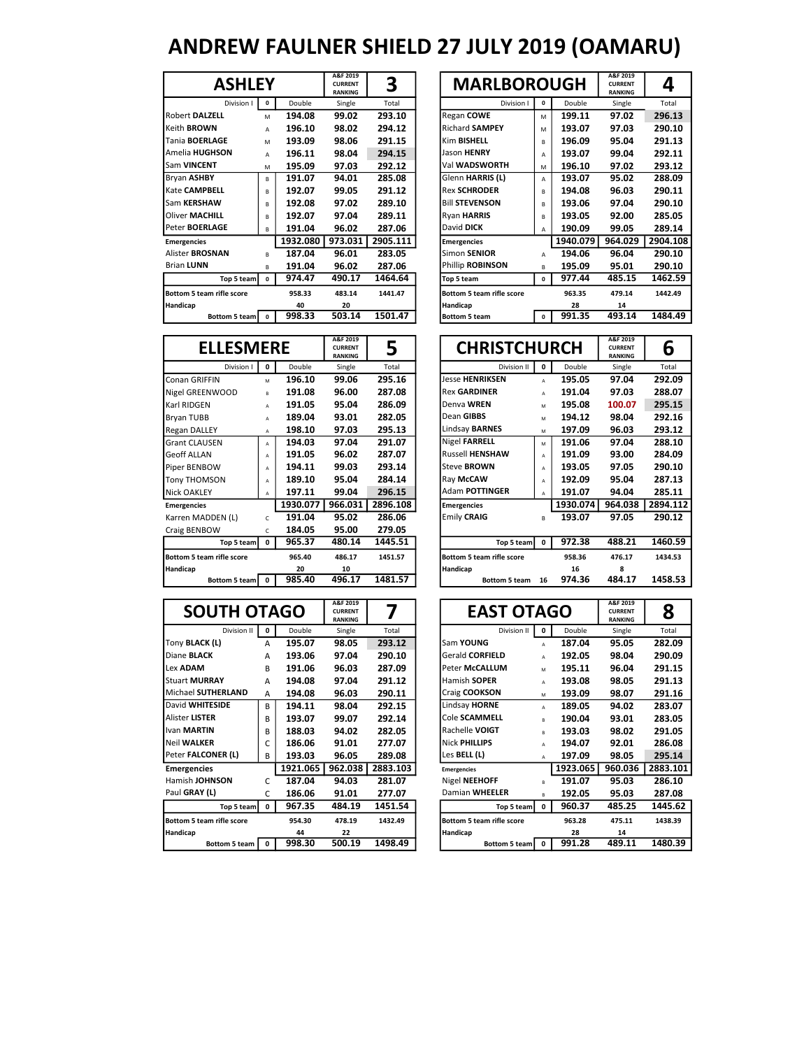| <b>ASHLEY</b>             |          |          | A&F 2019<br><b>CURRENT</b><br><b>RANKING</b> | 3        | <b>MARLBOROUGH</b>               |          |          | A&F 2019<br><b>CURRENT</b><br><b>RANKING</b> | Δ       |
|---------------------------|----------|----------|----------------------------------------------|----------|----------------------------------|----------|----------|----------------------------------------------|---------|
| Division I                | $\Omega$ | Double   | Single                                       | Total    | Division I                       | $\Omega$ | Double   | Single                                       | Total   |
| <b>Robert DALZELL</b>     | M        | 194.08   | 99.02                                        | 293.10   | Regan COWE                       | M        | 199.11   | 97.02                                        | 296.13  |
| Keith <b>BROWN</b>        | A        | 196.10   | 98.02                                        | 294.12   | <b>Richard SAMPEY</b>            | M        | 193.07   | 97.03                                        | 290.10  |
| <b>Tania BOERLAGE</b>     | M        | 193.09   | 98.06                                        | 291.15   | Kim BISHELL                      | B        | 196.09   | 95.04                                        | 291.13  |
| Amelia HUGHSON            | А        | 196.11   | 98.04                                        | 294.15   | Jason HENRY                      | A        | 193.07   | 99.04                                        | 292.11  |
| Sam VINCENT               | M        | 195.09   | 97.03                                        | 292.12   | Val <b>WADSWORTH</b>             | M        | 196.10   | 97.02                                        | 293.12  |
| Bryan ASHBY               | R        | 191.07   | 94.01                                        | 285.08   | Glenn HARRIS (L)                 | A        | 193.07   | 95.02                                        | 288.09  |
| Kate CAMPBELL             | B        | 192.07   | 99.05                                        | 291.12   | <b>Rex SCHRODER</b>              | B        | 194.08   | 96.03                                        | 290.11  |
| Sam KERSHAW               | R        | 192.08   | 97.02                                        | 289.10   | <b>Bill STEVENSON</b>            | B        | 193.06   | 97.04                                        | 290.10  |
| <b>Oliver MACHILL</b>     | R        | 192.07   | 97.04                                        | 289.11   | Ryan HARRIS                      | B        | 193.05   | 92.00                                        | 285.05  |
| Peter BOERLAGE            | R        | 191.04   | 96.02                                        | 287.06   | David DICK                       | A        | 190.09   | 99.05                                        | 289.14  |
| <b>Emergencies</b>        |          | 1932.080 | 973.031                                      | 2905.111 | <b>Emergencies</b>               |          | 1940.079 | 964.029                                      | 2904.10 |
| <b>Alister BROSNAN</b>    | R        | 187.04   | 96.01                                        | 283.05   | Simon SENIOR                     | A        | 194.06   | 96.04                                        | 290.10  |
| <b>Brian LUNN</b>         | R        | 191.04   | 96.02                                        | 287.06   | Phillip ROBINSON                 | B        | 195.09   | 95.01                                        | 290.10  |
| Top 5 team                | 0        | 974.47   | 490.17                                       | 1464.64  | Top 5 team                       | $\Omega$ | 977.44   | 485.15                                       | 1462.59 |
| Bottom 5 team rifle score |          | 958.33   | 483.14                                       | 1441.47  | <b>Bottom 5 team rifle score</b> |          | 963.35   | 479.14                                       | 1442.49 |
| Handicap                  |          | 40       | 20                                           |          | Handicap                         |          | 28       | 14                                           |         |
| Bottom 5 team             | $\Omega$ | 998.33   | 503.14                                       | 1501.47  | <b>Bottom 5 team</b>             | $\Omega$ | 991.35   | 493.14                                       | 1484.49 |
|                           |          |          |                                              |          |                                  |          |          |                                              |         |

| <b>ASHLEY</b><br>0               |             |          | A&F 2019<br><b>CURRENT</b><br><b>RANKING</b> | 3        | <b>MARLBOROUGH</b>        |             |          | A&F 2019<br><b>CURRENT</b><br><b>RANKING</b> | 4        |  |
|----------------------------------|-------------|----------|----------------------------------------------|----------|---------------------------|-------------|----------|----------------------------------------------|----------|--|
| Division I                       |             | Double   | Single                                       | Total    | Division I                | $\mathbf 0$ | Double   | Single                                       | Total    |  |
| Robert DALZELL                   | M           | 194.08   | 99.02                                        | 293.10   | Regan COWE                | M           | 199.11   | 97.02                                        | 296.13   |  |
| Keith <b>BROWN</b>               | A           | 196.10   | 98.02                                        | 294.12   | <b>Richard SAMPEY</b>     | M           | 193.07   | 97.03                                        | 290.10   |  |
| Tania <b>BOERLAGE</b>            | M           | 193.09   | 98.06                                        | 291.15   | Kim BISHELL               | B.          | 196.09   | 95.04                                        | 291.13   |  |
| Amelia HUGHSON                   | A           | 196.11   | 98.04                                        | 294.15   | <b>Jason HENRY</b>        | A           | 193.07   | 99.04                                        | 292.11   |  |
| Sam VINCENT                      | M           | 195.09   | 97.03                                        | 292.12   | Val WADSWORTH             | M           | 196.10   | 97.02                                        | 293.12   |  |
| Bryan ASHBY                      | R.          | 191.07   | 94.01                                        | 285.08   | Glenn HARRIS (L)          | A           | 193.07   | 95.02                                        | 288.09   |  |
| Kate CAMPBELL                    | в           | 192.07   | 99.05                                        | 291.12   | <b>Rex SCHRODER</b>       | B           | 194.08   | 96.03                                        | 290.11   |  |
| Sam KERSHAW                      | R           | 192.08   | 97.02                                        | 289.10   | <b>Bill STEVENSON</b>     | B.          | 193.06   | 97.04                                        | 290.10   |  |
| Oliver MACHILL                   | B           | 192.07   | 97.04                                        | 289.11   | <b>Ryan HARRIS</b>        | B.          | 193.05   | 92.00                                        | 285.05   |  |
| Peter <b>BOERLAGE</b>            | в           | 191.04   | 96.02                                        | 287.06   | David DICK                | A           | 190.09   | 99.05                                        | 289.14   |  |
| <b>Emergencies</b>               |             | 1932.080 | 973.031                                      | 2905.111 | <b>Emergencies</b>        |             | 1940.079 | 964.029                                      | 2904.108 |  |
| Alister <b>BROSNAN</b>           | R           | 187.04   | 96.01                                        | 283.05   | Simon SENIOR              | A           | 194.06   | 96.04                                        | 290.10   |  |
| <b>Brian LUNN</b>                | В           | 191.04   | 96.02                                        | 287.06   | Phillip ROBINSON          | B           | 195.09   | 95.01                                        | 290.10   |  |
| Top 5 team                       | $\mathbf 0$ | 974.47   | 490.17                                       | 1464.64  | Top 5 team                | $\mathbf 0$ | 977.44   | 485.15                                       | 1462.59  |  |
| <b>Bottom 5 team rifle score</b> |             | 958.33   | 483.14                                       | 1441.47  | Bottom 5 team rifle score |             | 963.35   | 479.14                                       | 1442.49  |  |
| Handicap                         |             | 40       | 20                                           |          | Handicap                  |             | 28       | 14                                           |          |  |
| Bottom 5 team                    | $\Omega$    | 998.33   | 503.14                                       | 1501.47  | <b>Bottom 5 team</b>      | $\Omega$    | 991.35   | 493.14                                       | 1484.49  |  |

| <b>ELLESMERE</b>          |              |          | A&F 2019<br><b>CURRENT</b><br><b>RANKING</b> | 5        | <b>CHRISTCHURCH</b>              |              |          | A&F 2019<br><b>CURRENT</b><br><b>RANKING</b> |  |
|---------------------------|--------------|----------|----------------------------------------------|----------|----------------------------------|--------------|----------|----------------------------------------------|--|
| Division I                | $\mathbf{0}$ | Double   | Single                                       | Total    | Division II                      | 0            | Double   | Single                                       |  |
| Conan GRIFFIN             | M            | 196.10   | 99.06                                        | 295.16   | <b>Jesse HENRIKSEN</b>           | A            | 195.05   | 97.04                                        |  |
| Nigel GREENWOOD           | B            | 191.08   | 96.00                                        | 287.08   | <b>Rex GARDINER</b>              | A            | 191.04   | 97.03                                        |  |
| Karl RIDGEN               | A            | 191.05   | 95.04                                        | 286.09   | Denva WREN                       | M            | 195.08   | 100.07                                       |  |
| Bryan TUBB                | A            | 189.04   | 93.01                                        | 282.05   | Dean GIBBS                       | M            | 194.12   | 98.04                                        |  |
| Regan DALLEY              | A            | 198.10   | 97.03                                        | 295.13   | Lindsay <b>BARNES</b>            | M            | 197.09   | 96.03                                        |  |
| <b>Grant CLAUSEN</b>      | A            | 194.03   | 97.04                                        | 291.07   | Nigel FARRELL                    | M            | 191.06   | 97.04                                        |  |
| <b>Geoff ALLAN</b>        | A            | 191.05   | 96.02                                        | 287.07   | <b>Russell HENSHAW</b>           | A            | 191.09   | 93.00                                        |  |
| Piper BENBOW              | A            | 194.11   | 99.03                                        | 293.14   | <b>Steve BROWN</b>               | A            | 193.05   | 97.05                                        |  |
| Tony THOMSON              | A            | 189.10   | 95.04                                        | 284.14   | Ray McCAW                        | A            | 192.09   | 95.04                                        |  |
| <b>Nick OAKLEY</b>        | A            | 197.11   | 99.04                                        | 296.15   | Adam POTTINGER                   | A            | 191.07   | 94.04                                        |  |
| <b>Emergencies</b>        |              | 1930.077 | 966.031                                      | 2896.108 | <b>Emergencies</b>               |              | 1930.074 | 964.038                                      |  |
| Karren MADDEN (L)         | C            | 191.04   | 95.02                                        | 286.06   | <b>Emily CRAIG</b>               | R.           | 193.07   | 97.05                                        |  |
| Craig BENBOW              | $\mathsf{C}$ | 184.05   | 95.00                                        | 279.05   |                                  |              |          |                                              |  |
| Top 5 team                | $^{\circ}$   | 965.37   | 480.14                                       | 1445.51  | Top 5 team                       | $\mathbf{0}$ | 972.38   | 488.21                                       |  |
| Bottom 5 team rifle score |              | 965.40   | 486.17                                       | 1451.57  | <b>Bottom 5 team rifle score</b> |              | 958.36   | 476.17                                       |  |
| Handicap                  |              | 20       | 10                                           |          | Handicap                         |              | 16       | 8                                            |  |
| Bottom 5 team   0         |              | 985.40   | 496.17                                       | 1481.57  | <b>Bottom 5 team</b>             | 16           | 974.36   | 484.17                                       |  |

| <b>LLESMERE</b> |              |          | A&F 2019<br><b>CURRENT</b><br><b>RANKING</b> | 5<br><b>CHRISTCHURCH</b> |  |                           | A&F 2019<br><b>CURRENT</b><br><b>RANKING</b> | 6        |         |          |
|-----------------|--------------|----------|----------------------------------------------|--------------------------|--|---------------------------|----------------------------------------------|----------|---------|----------|
| Division I      | 0            | Double   | Single                                       | Total                    |  | Division II               | $\mathbf{0}$                                 | Double   | Single  | Total    |
| <b>FIN</b>      | M            | 196.10   | 99.06                                        | 295.16                   |  | <b>Jesse HENRIKSEN</b>    | A                                            | 195.05   | 97.04   | 292.09   |
| <b>NMOOD</b>    | B            | 191.08   | 96.00                                        | 287.08                   |  | <b>Rex GARDINER</b>       | A                                            | 191.04   | 97.03   | 288.07   |
|                 | A            | 191.05   | 95.04                                        | 286.09                   |  | Denva WREN                | M                                            | 195.08   | 100.07  | 295.15   |
|                 | A            | 189.04   | 93.01                                        | 282.05                   |  | Dean GIBBS                | M                                            | 194.12   | 98.04   | 292.16   |
| EY.             | A            | 198.10   | 97.03                                        | 295.13                   |  | Lindsay BARNES            | M                                            | 197.09   | 96.03   | 293.12   |
| <b>SEN</b>      | A            | 194.03   | 97.04                                        | 291.07                   |  | <b>Nigel FARRELL</b>      | M                                            | 191.06   | 97.04   | 288.10   |
| V               | А            | 191.05   | 96.02                                        | 287.07                   |  | <b>Russell HENSHAW</b>    | A                                            | 191.09   | 93.00   | 284.09   |
| <b>OW</b>       | А            | 194.11   | 99.03                                        | 293.14                   |  | Steve <b>BROWN</b>        | A                                            | 193.05   | 97.05   | 290.10   |
| ISON            | A            | 189.10   | 95.04                                        | 284.14                   |  | Ray McCAW                 | A                                            | 192.09   | 95.04   | 287.13   |
| Y               | A            | 197.11   | 99.04                                        | 296.15                   |  | Adam POTTINGER            | A                                            | 191.07   | 94.04   | 285.11   |
|                 |              | 1930.077 | 966.031                                      | 2896.108                 |  | <b>Emergencies</b>        |                                              | 1930.074 | 964.038 | 2894.112 |
| DEN(L)          | $\mathsf{C}$ | 191.04   | 95.02                                        | 286.06                   |  | <b>Emily CRAIG</b>        | B                                            | 193.07   | 97.05   | 290.12   |
| <b>WC</b>       | $\mathsf{C}$ | 184.05   | 95.00                                        | 279.05                   |  |                           |                                              |          |         |          |
| Top 5 team      | 0            | 965.37   | 480.14                                       | 1445.51                  |  | Top 5 team                | $\mathbf{0}$                                 | 972.38   | 488.21  | 1460.59  |
| m rifle score   |              | 965.40   | 486.17                                       | 1451.57                  |  | Bottom 5 team rifle score |                                              | 958.36   | 476.17  | 1434.53  |
|                 |              | 20       | 10                                           |                          |  | Handicap                  |                                              | 16       | 8       |          |
| Bottom 5 team   | $\mathbf{0}$ | 985.40   | 496.17                                       | 1481.57                  |  | <b>Bottom 5 team</b>      | 16                                           | 974.36   | 484.17  | 1458.53  |
|                 |              |          |                                              |                          |  |                           |                                              |          |         |          |

| <b>SOUTH OTAGO</b>        |              |          | A&F 2019<br><b>CURRENT</b><br><b>RANKING</b> | 7        | <b>EAST OTAGO</b>         |                   |          | A&F 2019<br><b>CURRENT</b><br><b>RANKING</b> | 8        |
|---------------------------|--------------|----------|----------------------------------------------|----------|---------------------------|-------------------|----------|----------------------------------------------|----------|
| Division II               | 0            | Double   | Single                                       | Total    |                           | Division II<br>0  | Double   | Single                                       | Total    |
| Tony BLACK (L)            | $\mathsf{A}$ | 195.07   | 98.05                                        | 293.12   | Sam YOUNG                 | A                 | 187.04   | 95.05                                        | 282.09   |
| Diane <b>BLACK</b>        | А            | 193.06   | 97.04                                        | 290.10   | <b>Gerald CORFIELD</b>    | A                 | 192.05   | 98.04                                        | 290.09   |
| Lex <b>ADAM</b>           | R            | 191.06   | 96.03                                        | 287.09   | Peter McCALLUM            | M                 | 195.11   | 96.04                                        | 291.15   |
| <b>Stuart MURRAY</b>      | A            | 194.08   | 97.04                                        | 291.12   | Hamish <b>SOPER</b>       | A                 | 193.08   | 98.05                                        | 291.13   |
| Michael SUTHERLAND        | A            | 194.08   | 96.03                                        | 290.11   | Craig COOKSON             | M                 | 193.09   | 98.07                                        | 291.16   |
| David WHITESIDE           | B            | 194.11   | 98.04                                        | 292.15   | Lindsay HORNE             | A                 | 189.05   | 94.02                                        | 283.07   |
| Alister LISTER            | В            | 193.07   | 99.07                                        | 292.14   | Cole SCAMMELL             | R.                | 190.04   | 93.01                                        | 283.05   |
| Ivan MARTIN               | В            | 188.03   | 94.02                                        | 282.05   | Rachelle VOIGT            | B                 | 193.03   | 98.02                                        | 291.05   |
| <b>Neil WALKER</b>        | C.           | 186.06   | 91.01                                        | 277.07   | <b>Nick PHILLIPS</b>      | A                 | 194.07   | 92.01                                        | 286.08   |
| Peter FALCONER (L)        | В            | 193.03   | 96.05                                        | 289.08   | Les <b>BELL (L)</b>       | A                 | 197.09   | 98.05                                        | 295.14   |
| <b>Emergencies</b>        |              | 1921.065 | 962.038                                      | 2883.103 | <b>Emergencies</b>        |                   | 1923.065 | 960.036                                      | 2883.101 |
| Hamish JOHNSON            | C            | 187.04   | 94.03                                        | 281.07   | Nigel NEEHOFF             | B                 | 191.07   | 95.03                                        | 286.10   |
| Paul GRAY (L)             | C.           | 186.06   | 91.01                                        | 277.07   | Damian WHEELER            | R.                | 192.05   | 95.03                                        | 287.08   |
| Top 5 team                | 0            | 967.35   | 484.19                                       | 1451.54  |                           | Top 5 team<br>0   | 960.37   | 485.25                                       | 1445.62  |
| Bottom 5 team rifle score |              | 954.30   | 478.19                                       | 1432.49  | Bottom 5 team rifle score |                   | 963.28   | 475.11                                       | 1438.39  |
| Handicap                  |              | 44       | 22                                           |          | Handicap                  |                   | 28       | 14                                           |          |
| Bottom 5 team             | $\mathbf{0}$ | 998.30   | 500.19                                       | 1498.49  |                           | Bottom 5 team   0 | 991.28   | 489.11                                       | 1480.39  |

| <b>SOUTH OTAGO</b>               |            |          | A&F 2019<br><b>EAST OTAGO</b><br><b>CURRENT</b><br><b>RANKING</b> |          |                                  |              |          | A&F 2019<br><b>CURRENT</b><br><b>RANKING</b> | 8        |
|----------------------------------|------------|----------|-------------------------------------------------------------------|----------|----------------------------------|--------------|----------|----------------------------------------------|----------|
| Division II                      | 0          | Double   | Single                                                            | Total    | Division II                      | 0            | Double   | Single                                       | Total    |
| Tony BLACK (L)                   | А          | 195.07   | 98.05                                                             | 293.12   | Sam YOUNG                        | A            | 187.04   | 95.05                                        | 282.09   |
| Diane <b>BLACK</b>               | А          | 193.06   | 97.04                                                             | 290.10   | Gerald CORFIELD                  | A            | 192.05   | 98.04                                        | 290.09   |
| Lex <b>ADAM</b>                  | B          | 191.06   | 96.03                                                             | 287.09   | Peter McCALLUM                   | M            | 195.11   | 96.04                                        | 291.15   |
| Stuart MURRAY                    | А          | 194.08   | 97.04                                                             | 291.12   | Hamish SOPER                     | A            | 193.08   | 98.05                                        | 291.13   |
| Michael SUTHERLAND               | А          | 194.08   | 96.03                                                             | 290.11   | Craig COOKSON                    | M            | 193.09   | 98.07                                        | 291.16   |
| David WHITESIDE                  | В          | 194.11   | 98.04                                                             | 292.15   | Lindsay HORNE                    | A            | 189.05   | 94.02                                        | 283.07   |
| Alister LISTER                   | B          | 193.07   | 99.07                                                             | 292.14   | Cole SCAMMELL                    | B            | 190.04   | 93.01                                        | 283.05   |
| Ivan MARTIN                      | B          | 188.03   | 94.02                                                             | 282.05   | Rachelle VOIGT                   | R.           | 193.03   | 98.02                                        | 291.05   |
| Neil WALKER                      | C          | 186.06   | 91.01                                                             | 277.07   | <b>Nick PHILLIPS</b>             | A            | 194.07   | 92.01                                        | 286.08   |
| Peter FALCONER (L)               | В          | 193.03   | 96.05                                                             | 289.08   | Les BELL (L)                     | A            | 197.09   | 98.05                                        | 295.14   |
| Emergencies                      |            | 1921.065 | 962.038                                                           | 2883.103 | <b>Emergencies</b>               |              | 1923.065 | 960.036                                      | 2883.101 |
| Hamish JOHNSON                   | C.         | 187.04   | 94.03                                                             | 281.07   | Nigel NEEHOFF                    | R.           | 191.07   | 95.03                                        | 286.10   |
| Paul GRAY (L)                    | C          | 186.06   | 91.01                                                             | 277.07   | Damian WHEELER                   | R            | 192.05   | 95.03                                        | 287.08   |
| Top 5 team                       | 0          | 967.35   | 484.19                                                            | 1451.54  | Top 5 team                       | $\mathbf{0}$ | 960.37   | 485.25                                       | 1445.62  |
| <b>Bottom 5 team rifle score</b> |            | 954.30   | 478.19                                                            | 1432.49  | <b>Bottom 5 team rifle score</b> |              | 963.28   | 475.11                                       | 1438.39  |
| Handicap                         |            | 44       | 22                                                                |          | Handicap                         |              | 28       | 14                                           |          |
| Bottom 5 team                    | $^{\circ}$ | 998.30   | 500.19                                                            | 1498.49  | Bottom 5 team   0                |              | 991.28   | 489.11                                       | 1480.39  |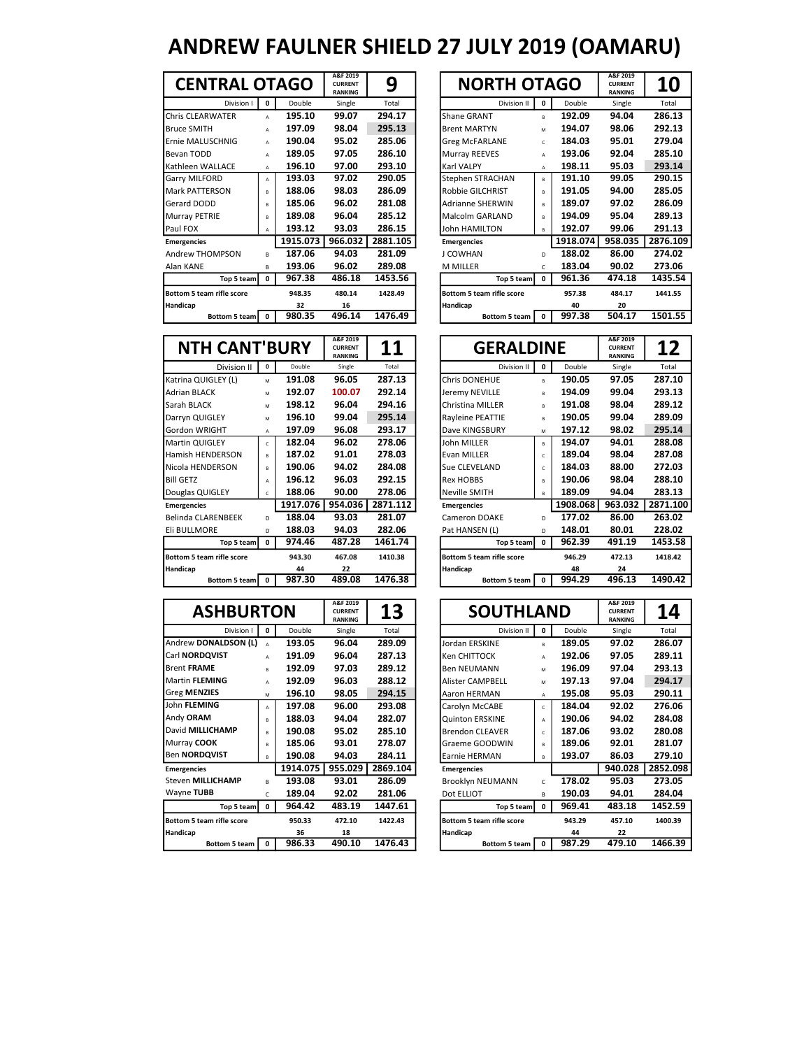| <b>CENTRAL OTAGO</b>      |              |          | A&F 2019<br><b>CURRENT</b><br><b>RANKING</b> | 9        | <b>NORTH OTAGO</b>               |              |          | A&F 2019<br><b>CURRENT</b><br><b>RANKING</b> |  |
|---------------------------|--------------|----------|----------------------------------------------|----------|----------------------------------|--------------|----------|----------------------------------------------|--|
| Division I                | 0            | Double   | Single                                       | Total    | Division II                      | 0            | Double   | Single                                       |  |
| <b>Chris CLEARWATER</b>   | A            | 195.10   | 99.07                                        | 294.17   | <b>Shane GRANT</b>               | R.           | 192.09   | 94.04                                        |  |
| <b>Bruce SMITH</b>        | A            | 197.09   | 98.04                                        | 295.13   | <b>Brent MARTYN</b>              | M            | 194.07   | 98.06                                        |  |
| Ernie MALUSCHNIG          | $\mathbf{A}$ | 190.04   | 95.02                                        | 285.06   | <b>Greg McFARLANE</b>            | $\epsilon$   | 184.03   | 95.01                                        |  |
| Bevan TODD                | A            | 189.05   | 97.05                                        | 286.10   | <b>Murray REEVES</b>             | $\mathbf{A}$ | 193.06   | 92.04                                        |  |
| Kathleen WALLACE          | A            | 196.10   | 97.00                                        | 293.10   | <b>Karl VALPY</b>                | A            | 198.11   | 95.03                                        |  |
| Garry MILFORD             | A            | 193.03   | 97.02                                        | 290.05   | Stephen STRACHAN                 | B            | 191.10   | 99.05                                        |  |
| <b>Mark PATTERSON</b>     | B            | 188.06   | 98.03                                        | 286.09   | Robbie GILCHRIST                 | R.           | 191.05   | 94.00                                        |  |
| Gerard DODD               | B            | 185.06   | 96.02                                        | 281.08   | <b>Adrianne SHERWIN</b>          | R.           | 189.07   | 97.02                                        |  |
| <b>Murray PETRIE</b>      | B            | 189.08   | 96.04                                        | 285.12   | <b>Malcolm GARLAND</b>           | R.           | 194.09   | 95.04                                        |  |
| Paul FOX                  | $\mathbf{A}$ | 193.12   | 93.03                                        | 286.15   | <b>John HAMILTON</b>             | R.           | 192.07   | 99.06                                        |  |
| <b>Emergencies</b>        |              | 1915.073 | 966.032                                      | 2881.105 | <b>Emergencies</b>               |              | 1918.074 | 958.035                                      |  |
| Andrew THOMPSON           | R            | 187.06   | 94.03                                        | 281.09   | J COWHAN                         | D            | 188.02   | 86.00                                        |  |
| Alan KANE                 | В            | 193.06   | 96.02                                        | 289.08   | <b>M MILLER</b>                  | C            | 183.04   | 90.02                                        |  |
| Top 5 team                | 0            | 967.38   | 486.18                                       | 1453.56  | Top 5 team                       | 0            | 961.36   | 474.18                                       |  |
| Bottom 5 team rifle score |              | 948.35   | 480.14                                       | 1428.49  | <b>Bottom 5 team rifle score</b> |              | 957.38   | 484.17                                       |  |
| Handicap                  |              | 32       | 16                                           |          | Handicap                         |              | 40       | 20                                           |  |
| Bottom 5 team             | $\Omega$     | 980.35   | 496.14                                       | 1476.49  | <b>Bottom 5 team</b>             | $\mathbf{0}$ | 997.38   | 504.17                                       |  |
|                           |              |          |                                              |          |                                  |              |          |                                              |  |

| <b>CENTRAL OTAGO</b>             |              |          | A&F 2019<br><b>CURRENT</b><br><b>RANKING</b> | 9        | <b>NORTH OTAGO</b>        |                |          | A&F 2019<br><b>CURRENT</b><br><b>RANKING</b> | <b>10</b> |
|----------------------------------|--------------|----------|----------------------------------------------|----------|---------------------------|----------------|----------|----------------------------------------------|-----------|
| Division I                       | 0            | Double   | Single                                       | Total    | Division II               | 0              | Double   | Single                                       | Total     |
| <b>Chris CLEARWATER</b>          | A            | 195.10   | 99.07                                        | 294.17   | <b>Shane GRANT</b>        | $\mathbf{B}$   | 192.09   | 94.04                                        | 286.13    |
| <b>Bruce SMITH</b>               | A            | 197.09   | 98.04                                        | 295.13   | <b>Brent MARTYN</b>       | M              | 194.07   | 98.06                                        | 292.13    |
| Ernie MALUSCHNIG                 | A            | 190.04   | 95.02                                        | 285.06   | <b>Greg McFARLANE</b>     | $\mathsf{C}$   | 184.03   | 95.01                                        | 279.04    |
| Bevan TODD                       | A            | 189.05   | 97.05                                        | 286.10   | Murray REEVES             | $\overline{A}$ | 193.06   | 92.04                                        | 285.10    |
| Kathleen WALLACE                 | A            | 196.10   | 97.00                                        | 293.10   | <b>Karl VALPY</b>         | A              | 198.11   | 95.03                                        | 293.14    |
| Garry MILFORD                    | A            | 193.03   | 97.02                                        | 290.05   | Stephen STRACHAN          | $\mathsf{R}$   | 191.10   | 99.05                                        | 290.15    |
| Mark PATTERSON                   | B            | 188.06   | 98.03                                        | 286.09   | Robbie GILCHRIST          | $\mathbf{B}$   | 191.05   | 94.00                                        | 285.05    |
| Gerard DODD                      | R.           | 185.06   | 96.02                                        | 281.08   | <b>Adrianne SHERWIN</b>   | $\mathbf{B}$   | 189.07   | 97.02                                        | 286.09    |
| Murray PETRIE                    | R            | 189.08   | 96.04                                        | 285.12   | Malcolm GARLAND           | $\mathsf{R}$   | 194.09   | 95.04                                        | 289.13    |
| Paul FOX                         | A            | 193.12   | 93.03                                        | 286.15   | John HAMILTON             | $\mathsf{R}$   | 192.07   | 99.06                                        | 291.13    |
| <b>Emergencies</b>               |              | 1915.073 | 966.032                                      | 2881.105 | <b>Emergencies</b>        |                | 1918.074 | 958.035                                      | 2876.109  |
| <b>Andrew THOMPSON</b>           | R.           | 187.06   | 94.03                                        | 281.09   | J COWHAN                  | D              | 188.02   | 86.00                                        | 274.02    |
| Alan KANE                        | В            | 193.06   | 96.02                                        | 289.08   | <b>M MILLER</b>           | $\mathsf{C}$   | 183.04   | 90.02                                        | 273.06    |
| Top 5 team                       | 0            | 967.38   | 486.18                                       | 1453.56  | Top 5 team                | $\mathbf 0$    | 961.36   | 474.18                                       | 1435.54   |
| <b>Bottom 5 team rifle score</b> |              | 948.35   | 480.14                                       | 1428.49  | Bottom 5 team rifle score |                | 957.38   | 484.17                                       | 1441.55   |
| Handicap                         |              | 32       | 16                                           |          | Handicap                  |                | 40       | 20                                           |           |
| <b>Bottom 5 team</b>             | $\mathbf{0}$ | 980.35   | 496.14                                       | 1476.49  | <b>Bottom 5 team</b>      | $\mathbf{0}$   | 997.38   | 504.17                                       | 1501.55   |

| <b>NTH CANT'BURY</b>      |              |          | A&F 2019<br><b>CURRENT</b><br><b>RANKING</b> | 11       |                      | <b>GERALDINE</b>                 |              |          | A&F 2019<br><b>CURRENT</b><br><b>RANKING</b> |  |
|---------------------------|--------------|----------|----------------------------------------------|----------|----------------------|----------------------------------|--------------|----------|----------------------------------------------|--|
| Division II               | 0            | Double   | Single                                       | Total    |                      | Division II                      | $\Omega$     | Double   | Single                                       |  |
| Katrina QUIGLEY (L)       | M            | 191.08   | 96.05                                        | 287.13   | <b>Chris DONEHUE</b> |                                  | R            | 190.05   | 97.05                                        |  |
| <b>Adrian BLACK</b>       | M            | 192.07   | 100.07                                       | 292.14   | Jeremy NEVILLE       |                                  | R            | 194.09   | 99.04                                        |  |
| <b>Sarah BLACK</b>        | M            | 198.12   | 96.04                                        | 294.16   |                      | Christina MILLER                 | B            | 191.08   | 98.04                                        |  |
| Darryn QUIGLEY            | M            | 196.10   | 99.04                                        | 295.14   |                      | Rayleine PEATTIE                 | B            | 190.05   | 99.04                                        |  |
| <b>Gordon WRIGHT</b>      | $\mathsf{A}$ | 197.09   | 96.08                                        | 293.17   |                      | Dave KINGSBURY                   | M            | 197.12   | 98.02                                        |  |
| <b>Martin QUIGLEY</b>     | C.           | 182.04   | 96.02                                        | 278.06   | John MILLER          |                                  | $\mathsf{R}$ | 194.07   | 94.01                                        |  |
| Hamish HENDERSON          | R.           | 187.02   | 91.01                                        | 278.03   | Evan MILLER          |                                  | $\epsilon$   | 189.04   | 98.04                                        |  |
| Nicola HENDERSON          | R.           | 190.06   | 94.02                                        | 284.08   | Sue CLEVELAND        |                                  | $\epsilon$   | 184.03   | 88.00                                        |  |
| <b>Bill GETZ</b>          | A            | 196.12   | 96.03                                        | 292.15   | <b>Rex HOBBS</b>     |                                  | R            | 190.06   | 98.04                                        |  |
| Douglas QUIGLEY           | c            | 188.06   | 90.00                                        | 278.06   | Neville SMITH        |                                  | B            | 189.09   | 94.04                                        |  |
| <b>Emergencies</b>        |              | 1917.076 | 954.036                                      | 2871.112 | <b>Emergencies</b>   |                                  |              | 1908.068 | 963.032                                      |  |
| <b>Belinda CLARENBEEK</b> | D.           | 188.04   | 93.03                                        | 281.07   |                      | Cameron DOAKE                    | D            | 177.02   | 86.00                                        |  |
| Eli BULLMORE              | D            | 188.03   | 94.03                                        | 282.06   | Pat HANSEN (L)       |                                  | D            | 148.01   | 80.01                                        |  |
| Top 5 team                | 0            | 974.46   | 487.28                                       | 1461.74  |                      | Top 5 team                       | $\Omega$     | 962.39   | 491.19                                       |  |
| Bottom 5 team rifle score |              | 943.30   | 467.08                                       | 1410.38  |                      | <b>Bottom 5 team rifle score</b> |              | 946.29   | 472.13                                       |  |
| Handicap                  |              | 44       | 22                                           |          | Handicap             |                                  |              | 48       | 24                                           |  |
| Bottom 5 team   0         |              | 987.30   | 489.08                                       | 1476.38  |                      | Bottom 5 team                    | 0            | 994.29   | 496.13                                       |  |

| <b>ASHBURTON</b>                 |              |          | A&F 2019<br><b>CURRENT</b><br><b>RANKING</b> | 13       | <b>SOUTHLAND</b>          |              |        | A&F 2019<br><b>CURRENT</b><br><b>RANKING</b> | 14       |
|----------------------------------|--------------|----------|----------------------------------------------|----------|---------------------------|--------------|--------|----------------------------------------------|----------|
| Division I                       | 0            | Double   | Single                                       | Total    | Division II               | $\mathbf 0$  | Double | Single                                       | Total    |
| Andrew DONALDSON (L)             |              | 193.05   | 96.04                                        | 289.09   | Jordan ERSKINE            | R.           | 189.05 | 97.02                                        | 286.07   |
| Carl NORDQVIST                   | A            | 191.09   | 96.04                                        | 287.13   | Ken CHITTOCK              | A            | 192.06 | 97.05                                        | 289.11   |
| <b>Brent FRAME</b>               | B            | 192.09   | 97.03                                        | 289.12   | <b>Ben NEUMANN</b>        | M            | 196.09 | 97.04                                        | 293.13   |
| <b>I</b> Martin <b>FLEMING</b>   | A            | 192.09   | 96.03                                        | 288.12   | <b>Alister CAMPBELL</b>   | M            | 197.13 | 97.04                                        | 294.17   |
| <b>Greg MENZIES</b>              | M            | 196.10   | 98.05                                        | 294.15   | Aaron HERMAN              | A            | 195.08 | 95.03                                        | 290.11   |
| John FLEMING                     | A            | 197.08   | 96.00                                        | 293.08   | Carolyn McCABE            | $\epsilon$   | 184.04 | 92.02                                        | 276.06   |
| Andy ORAM                        | R            | 188.03   | 94.04                                        | 282.07   | <b>Quinton ERSKINE</b>    | A            | 190.06 | 94.02                                        | 284.08   |
| David MILLICHAMP                 | в            | 190.08   | 95.02                                        | 285.10   | <b>Brendon CLEAVER</b>    | Ċ            | 187.06 | 93.02                                        | 280.08   |
| Murray COOK                      | R            | 185.06   | 93.01                                        | 278.07   | Graeme GOODWIN            | R.           | 189.06 | 92.01                                        | 281.07   |
| Ben NORDQVIST                    | R            | 190.08   | 94.03                                        | 284.11   | Earnie HERMAN             | R.           | 193.07 | 86.03                                        | 279.10   |
| <b>Emergencies</b>               |              | 1914.075 | 955.029                                      | 2869.104 | <b>Emergencies</b>        |              |        | 940.028                                      | 2852.098 |
| <b>Steven MILLICHAMP</b>         | R.           | 193.08   | 93.01                                        | 286.09   | Brooklyn NEUMANN          | C            | 178.02 | 95.03                                        | 273.05   |
| Wayne TUBB                       | C            | 189.04   | 92.02                                        | 281.06   | Dot ELLIOT                | в            | 190.03 | 94.01                                        | 284.04   |
| Top 5 team                       | $\mathbf{0}$ | 964.42   | 483.19                                       | 1447.61  | Top 5 team                | $\mathbf 0$  | 969.41 | 483.18                                       | 1452.59  |
| <b>Bottom 5 team rifle score</b> |              | 950.33   | 472.10                                       | 1422.43  | Bottom 5 team rifle score |              | 943.29 | 457.10                                       | 1400.39  |
| Handicap                         |              | 36       | 18                                           |          | Handicap                  |              | 44     | 22                                           |          |
| Bottom 5 team 1                  | $\mathbf{0}$ | 986.33   | 490.10                                       | 1476.43  | Bottom 5 team             | $\mathbf{0}$ | 987.29 | 479.10                                       | 1466.39  |

| <b>NTH CANT'BURY</b>             |                |          | A&F 2019<br><b>CURRENT</b><br><b>RANKING</b> | 11       | <b>GERALDINE</b>                 |            |          | A&F 2019<br><b>CURRENT</b><br><b>RANKING</b> | 12       |
|----------------------------------|----------------|----------|----------------------------------------------|----------|----------------------------------|------------|----------|----------------------------------------------|----------|
| Division II                      | 0              | Double   | Single                                       | Total    | Division II                      | 0          | Double   | Single                                       | Total    |
| Katrina QUIGLEY (L)              | M              | 191.08   | 96.05                                        | 287.13   | Chris DONEHUE                    | R.         | 190.05   | 97.05                                        | 287.10   |
| <b>Adrian BLACK</b>              | M              | 192.07   | 100.07                                       | 292.14   | Jeremy NEVILLE                   | R.         | 194.09   | 99.04                                        | 293.13   |
| Sarah BLACK                      | M              | 198.12   | 96.04                                        | 294.16   | <b>Christina MILLER</b>          | R.         | 191.08   | 98.04                                        | 289.12   |
| Darryn QUIGLEY                   | M              | 196.10   | 99.04                                        | 295.14   | Rayleine PEATTIE                 | B          | 190.05   | 99.04                                        | 289.09   |
| Gordon WRIGHT                    | A              | 197.09   | 96.08                                        | 293.17   | Dave KINGSBURY                   | M          | 197.12   | 98.02                                        | 295.14   |
| Martin QUIGLEY                   | $\mathfrak{c}$ | 182.04   | 96.02                                        | 278.06   | John MILLER                      | R.         | 194.07   | 94.01                                        | 288.08   |
| Hamish HENDERSON                 | $\mathsf{R}$   | 187.02   | 91.01                                        | 278.03   | Evan MILLER                      | $\epsilon$ | 189.04   | 98.04                                        | 287.08   |
| Nicola HENDERSON                 | B              | 190.06   | 94.02                                        | 284.08   | Sue CLEVELAND                    | $\epsilon$ | 184.03   | 88.00                                        | 272.03   |
| <b>Bill GETZ</b>                 | A              | 196.12   | 96.03                                        | 292.15   | <b>Rex HOBBS</b>                 | R          | 190.06   | 98.04                                        | 288.10   |
| Douglas QUIGLEY                  | c              | 188.06   | 90.00                                        | 278.06   | <b>Neville SMITH</b>             | R          | 189.09   | 94.04                                        | 283.13   |
| <b>Emergencies</b>               |                | 1917.076 | 954.036                                      | 2871.112 | <b>Emergencies</b>               |            | 1908.068 | 963.032                                      | 2871.100 |
| <b>Belinda CLARENBEEK</b>        | D.             | 188.04   | 93.03                                        | 281.07   | Cameron DOAKE                    | D          | 177.02   | 86.00                                        | 263.02   |
| Eli BULLMORE                     | D.             | 188.03   | 94.03                                        | 282.06   | Pat HANSEN (L)                   | D.         | 148.01   | 80.01                                        | 228.02   |
| Top 5 team                       | 0              | 974.46   | 487.28                                       | 1461.74  | Top 5 team                       | $^{\circ}$ | 962.39   | 491.19                                       | 1453.58  |
| <b>Bottom 5 team rifle score</b> |                | 943.30   | 467.08                                       | 1410.38  | <b>Bottom 5 team rifle score</b> |            | 946.29   | 472.13                                       | 1418.42  |
| Handicap                         |                | 44       | 22                                           |          | Handicap                         |            | 48       | 24                                           |          |
| Bottom 5 team                    | $\mathbf{0}$   | 987.30   | 489.08                                       | 1476.38  | Bottom 5 team                    | 0          | 994.29   | 496.13                                       | 1490.42  |

| <b>ASHBURTON</b>     |          |          | A&F 2019<br><b>CURRENT</b><br><b>RANKING</b> | 13       | <b>SOUTHLAND</b>          |              |        | A&F 2019<br><b>CURRENT</b><br><b>RANKING</b> | 14       |
|----------------------|----------|----------|----------------------------------------------|----------|---------------------------|--------------|--------|----------------------------------------------|----------|
| Division I           | 0        | Double   | Single                                       | Total    | Division II               | 0            | Double | Single                                       | Total    |
| <b>DONALDSON (L)</b> | A        | 193.05   | 96.04                                        | 289.09   | Jordan ERSKINE            | B            | 189.05 | 97.02                                        | 286.07   |
| <b>RDQVIST</b>       | A        | 191.09   | 96.04                                        | 287.13   | Ken CHITTOCK              | A            | 192.06 | 97.05                                        | 289.11   |
| RAME                 | R.       | 192.09   | 97.03                                        | 289.12   | <b>Ben NEUMANN</b>        | M            | 196.09 | 97.04                                        | 293.13   |
| <b>FLEMING</b>       | A        | 192.09   | 96.03                                        | 288.12   | <b>Alister CAMPBELL</b>   | M            | 197.13 | 97.04                                        | 294.17   |
| <b>ENZIES</b>        | M        | 196.10   | 98.05                                        | 294.15   | Aaron HERMAN              | A            | 195.08 | 95.03                                        | 290.11   |
| <b>EMING</b>         | A        | 197.08   | 96.00                                        | 293.08   | Carolyn McCABE            | C            | 184.04 | 92.02                                        | 276.06   |
| <b>RAM</b>           | R        | 188.03   | 94.04                                        | 282.07   | <b>Quinton ERSKINE</b>    | A            | 190.06 | 94.02                                        | 284.08   |
| <b>AILLICHAMP</b>    | B        | 190.08   | 95.02                                        | 285.10   | <b>Brendon CLEAVER</b>    | C            | 187.06 | 93.02                                        | 280.08   |
| <b>COOK</b>          | R        | 185.06   | 93.01                                        | 278.07   | Graeme GOODWIN            | R.           | 189.06 | 92.01                                        | 281.07   |
| <b>RDQVIST</b>       | R        | 190.08   | 94.03                                        | 284.11   | Earnie HERMAN             | B            | 193.07 | 86.03                                        | 279.10   |
| <b>cies</b>          |          | 1914.075 | 955.029                                      | 2869.104 | <b>Emergencies</b>        |              |        | 940.028                                      | 2852.098 |
| <b>MILLICHAMP</b>    | R        | 193.08   | 93.01                                        | 286.09   | Brooklyn NEUMANN          | $\mathsf{C}$ | 178.02 | 95.03                                        | 273.05   |
| <b>TUBB</b>          | C        | 189.04   | 92.02                                        | 281.06   | Dot ELLIOT                | B            | 190.03 | 94.01                                        | 284.04   |
| Top 5 team           | 0        | 964.42   | 483.19                                       | 1447.61  | Top 5 team                | 0            | 969.41 | 483.18                                       | 1452.59  |
| 5 team rifle score   |          | 950.33   | 472.10                                       | 1422.43  | Bottom 5 team rifle score |              | 943.29 | 457.10                                       | 1400.39  |
|                      |          | 36       | 18                                           |          | Handicap                  |              | 44     | 22                                           |          |
| Bottom 5 team        | $\Omega$ | 986.33   | 490.10                                       | 1476.43  | Bottom 5 team             | $\mathbf 0$  | 987.29 | 479.10                                       | 1466.39  |